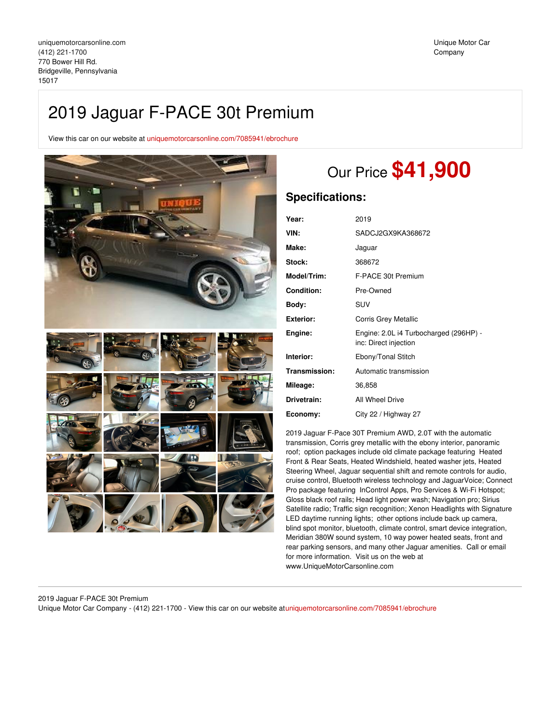# 2019 Jaguar F-PACE 30t Premium

View this car on our website at [uniquemotorcarsonline.com/7085941/ebrochure](https://uniquemotorcarsonline.com/vehicle/7085941/2019-jaguar-f-pace-30t-premium-bridgeville-pennsylvania-15017/7085941/ebrochure)



# Our Price **\$41,900**

# **Specifications:**

| Year:              | 2019                                                            |
|--------------------|-----------------------------------------------------------------|
| VIN:               | SADCJ2GX9KA368672                                               |
| Make:              | Jaguar                                                          |
| <b>Stock:</b>      | 368672                                                          |
| <b>Model/Trim:</b> | F-PACE 30t Premium                                              |
| <b>Condition:</b>  | Pre-Owned                                                       |
| Body:              | SUV                                                             |
| Exterior:          | <b>Corris Grey Metallic</b>                                     |
| Engine:            | Engine: 2.0L i4 Turbocharged (296HP) -<br>inc: Direct injection |
| Interior:          | Ebony/Tonal Stitch                                              |
| Transmission:      | Automatic transmission                                          |
| Mileage:           | 36,858                                                          |
| Drivetrain:        | All Wheel Drive                                                 |
| Economy:           | City 22 / Highway 27                                            |

2019 Jaguar F-Pace 30T Premium AWD, 2.0T with the automatic transmission, Corris grey metallic with the ebony interior, panoramic roof; option packages include old climate package featuring Heated Front & Rear Seats, Heated Windshield, heated washer jets, Heated Steering Wheel, Jaguar sequential shift and remote controls for audio, cruise control, Bluetooth wireless technology and JaguarVoice; Connect Pro package featuring InControl Apps, Pro Services & Wi-Fi Hotspot; Gloss black roof rails; Head light power wash; Navigation pro; Sirius Satellite radio; Traffic sign recognition; Xenon Headlights with Signature LED daytime running lights; other options include back up camera, blind spot monitor, bluetooth, climate control, smart device integration, Meridian 380W sound system, 10 way power heated seats, front and rear parking sensors, and many other Jaguar amenities. Call or email for more information. Visit us on the web at www.UniqueMotorCarsonline.com

## 2019 Jaguar F-PACE 30t Premium

Unique Motor Car Company - (412) 221-1700 - View this car on our website at[uniquemotorcarsonline.com/7085941/ebrochure](https://uniquemotorcarsonline.com/vehicle/7085941/2019-jaguar-f-pace-30t-premium-bridgeville-pennsylvania-15017/7085941/ebrochure)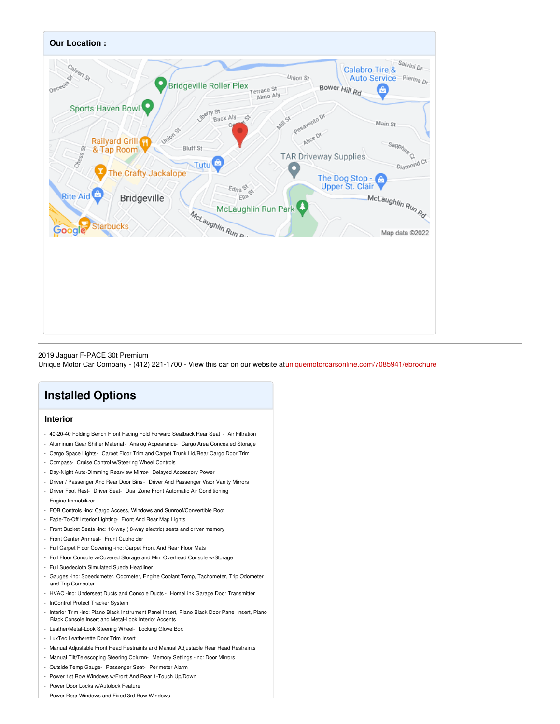

#### 2019 Jaguar F-PACE 30t Premium

Unique Motor Car Company - (412) 221-1700 - View this car on our website at[uniquemotorcarsonline.com/7085941/ebrochure](https://uniquemotorcarsonline.com/vehicle/7085941/2019-jaguar-f-pace-30t-premium-bridgeville-pennsylvania-15017/7085941/ebrochure)

# **Installed Options**

## **Interior**

- 40-20-40 Folding Bench Front Facing Fold Forward Seatback Rear Seat Air Filtration
- Aluminum Gear Shifter Material- Analog Appearance- Cargo Area Concealed Storage
- Cargo Space Lights- Carpet Floor Trim and Carpet Trunk Lid/Rear Cargo Door Trim
- Compass- Cruise Control w/Steering Wheel Controls
- Day-Night Auto-Dimming Rearview Mirror- Delayed Accessory Power
- Driver / Passenger And Rear Door Bins Driver And Passenger Visor Vanity Mirrors
- Driver Foot Rest- Driver Seat- Dual Zone Front Automatic Air Conditioning
- Engine Immobilizer
- FOB Controls -inc: Cargo Access, Windows and Sunroof/Convertible Roof
- Fade-To-Off Interior Lighting- Front And Rear Map Lights
- Front Bucket Seats -inc: 10-way ( 8-way electric) seats and driver memory
- Front Center Armrest- Front Cupholder
- Full Carpet Floor Covering -inc: Carpet Front And Rear Floor Mats
- Full Floor Console w/Covered Storage and Mini Overhead Console w/Storage
- Full Suedecloth Simulated Suede Headliner
- Gauges -inc: Speedometer, Odometer, Engine Coolant Temp, Tachometer, Trip Odometer and Trip Computer
- HVAC -inc: Underseat Ducts and Console Ducts HomeLink Garage Door Transmitter
- InControl Protect Tracker System
- Interior Trim -inc: Piano Black Instrument Panel Insert, Piano Black Door Panel Insert, Piano Black Console Insert and Metal-Look Interior Accents
- Leather/Metal-Look Steering Wheel- Locking Glove Box
- LuxTec Leatherette Door Trim Insert
- Manual Adjustable Front Head Restraints and Manual Adjustable Rear Head Restraints
- Manual Tilt/Telescoping Steering Column- Memory Settings -inc: Door Mirrors
- Outside Temp Gauge- Passenger Seat- Perimeter Alarm
- Power 1st Row Windows w/Front And Rear 1-Touch Up/Down
- Power Door Locks w/Autolock Feature
- Power Rear Windows and Fixed 3rd Row Windows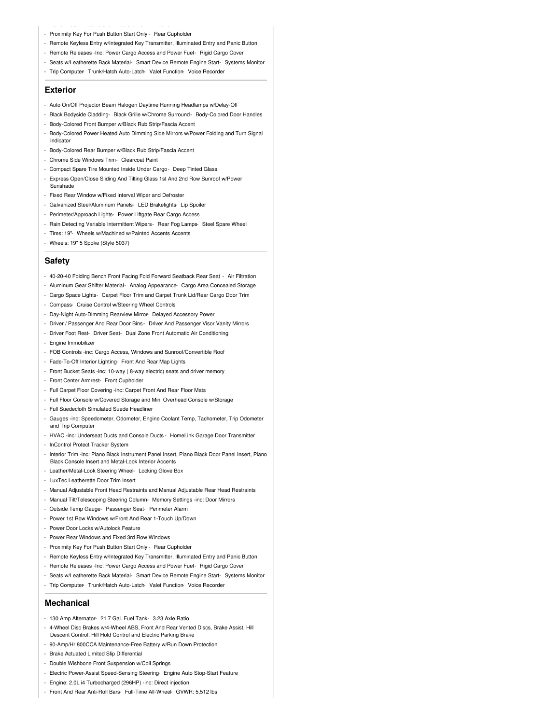- Proximity Key For Push Button Start Only Rear Cupholder
- Remote Keyless Entry w/Integrated Key Transmitter, Illuminated Entry and Panic Button
- Remote Releases -Inc: Power Cargo Access and Power Fuel- Rigid Cargo Cover
- Seats w/Leatherette Back Material- Smart Device Remote Engine Start- Systems Monitor
- Trip Computer- Trunk/Hatch Auto-Latch- Valet Function- Voice Recorder

### **Exterior**

- Auto On/Off Projector Beam Halogen Daytime Running Headlamps w/Delay-Off
- Black Bodyside Cladding- Black Grille w/Chrome Surround- Body-Colored Door Handles
- Body-Colored Front Bumper w/Black Rub Strip/Fascia Accent
- Body-Colored Power Heated Auto Dimming Side Mirrors w/Power Folding and Turn Signal Indicator
- Body-Colored Rear Bumper w/Black Rub Strip/Fascia Accent
- Chrome Side Windows Trim- Clearcoat Paint
- Compact Spare Tire Mounted Inside Under Cargo- Deep Tinted Glass
- Express Open/Close Sliding And Tilting Glass 1st And 2nd Row Sunroof w/Power Sunshade
- Fixed Rear Window w/Fixed Interval Wiper and Defroster
- Galvanized Steel/Aluminum Panels- LED Brakelights- Lip Spoiler
- Perimeter/Approach Lights- Power Liftgate Rear Cargo Access
- Rain Detecting Variable Intermittent Wipers- Rear Fog Lamps- Steel Spare Wheel
- Tires: 19"- Wheels w/Machined w/Painted Accents Accents
- Wheels: 19" 5 Spoke (Style 5037)

## **Safety**

- 40-20-40 Folding Bench Front Facing Fold Forward Seatback Rear Seat Air Filtration
- Aluminum Gear Shifter Material- Analog Appearance- Cargo Area Concealed Storage
- Cargo Space Lights- Carpet Floor Trim and Carpet Trunk Lid/Rear Cargo Door Trim
- Compass- Cruise Control w/Steering Wheel Controls
- Day-Night Auto-Dimming Rearview Mirror- Delayed Accessory Power
- Driver / Passenger And Rear Door Bins Driver And Passenger Visor Vanity Mirrors
- Driver Foot Rest- Driver Seat- Dual Zone Front Automatic Air Conditioning
- Engine Immobilizer
- FOB Controls -inc: Cargo Access, Windows and Sunroof/Convertible Roof
- Fade-To-Off Interior Lighting- Front And Rear Map Lights
- Front Bucket Seats -inc: 10-way ( 8-way electric) seats and driver memory
- Front Center Armrest- Front Cupholder
- Full Carpet Floor Covering -inc: Carpet Front And Rear Floor Mats
- Full Floor Console w/Covered Storage and Mini Overhead Console w/Storage
- Full Suedecloth Simulated Suede Headliner
- Gauges -inc: Speedometer, Odometer, Engine Coolant Temp, Tachometer, Trip Odometer and Trip Computer
- HVAC -inc: Underseat Ducts and Console Ducts HomeLink Garage Door Transmitter
- InControl Protect Tracker System
- Interior Trim -inc: Piano Black Instrument Panel Insert, Piano Black Door Panel Insert, Piano Black Console Insert and Metal-Look Interior Accents
- Leather/Metal-Look Steering Wheel- Locking Glove Box
- LuxTec Leatherette Door Trim Insert
- Manual Adjustable Front Head Restraints and Manual Adjustable Rear Head Restraints
- Manual Tilt/Telescoping Steering Column- Memory Settings -inc: Door Mirrors
- Outside Temp Gauge- Passenger Seat- Perimeter Alarm
- Power 1st Row Windows w/Front And Rear 1-Touch Up/Down
- Power Door Locks w/Autolock Feature
- Power Rear Windows and Fixed 3rd Row Windows
- Proximity Key For Push Button Start Only Rear Cupholder
- Remote Keyless Entry w/Integrated Key Transmitter, Illuminated Entry and Panic Button
- Remote Releases -Inc: Power Cargo Access and Power Fuel- Rigid Cargo Cover
- Seats w/Leatherette Back Material- Smart Device Remote Engine Start- Systems Monitor
- Trip Computer- Trunk/Hatch Auto-Latch- Valet Function- Voice Recorder

## **Mechanical**

- 130 Amp Alternator- 21.7 Gal. Fuel Tank- 3.23 Axle Ratio
- 4-Wheel Disc Brakes w/4-Wheel ABS, Front And Rear Vented Discs, Brake Assist, Hill Descent Control, Hill Hold Control and Electric Parking Brake
- 90-Amp/Hr 800CCA Maintenance-Free Battery w/Run Down Protection
- Brake Actuated Limited Slip Differential
- Double Wishbone Front Suspension w/Coil Springs
- Electric Power-Assist Speed-Sensing Steering- Engine Auto Stop-Start Feature
- Engine: 2.0L i4 Turbocharged (296HP) -inc: Direct injection
- Front And Rear Anti-Roll Bars- Full-Time All-Wheel- GVWR: 5,512 lbs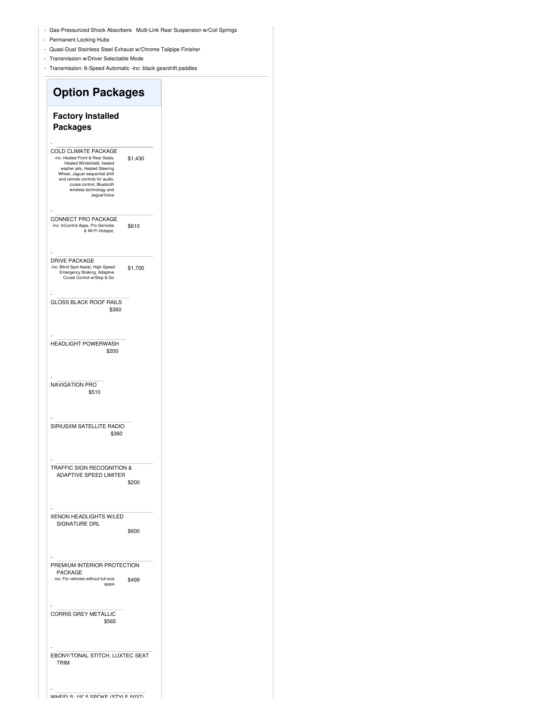- Gas-Pressurized Shock Absorbers- Multi-Link Rear Suspension w/Coil Springs
- Permanent Locking Hubs
- Quasi-Dual Stainless Steel Exhaust w/Chrome Tailpipe Finisher
- Transmission w/Driver Selectable Mode
- Transmission: 8-Speed Automatic -inc: black gearshift paddles

# **Option Packages Factory Installed Packages** \$1,430 - COLD CLIMATE PACKAGE -inc: Heated Front & Rear Seats, Heated Windshield, heated washer jets, Heated Steering Wheel, Jaguar sequential shift and remote controls for audio, cruise control, Bluetooth wireless technology and JaguarVoice \$610 - CONNECT PRO PACKAGE -inc: InControl Apps, Pro Services & Wi-Fi Hotspot, \$1,700 - DRIVE PACKAGE -inc: Blind Spot Assist, High-Speed Emergency Braking, Adaptive Cruise Control w/Stop & Go \$360 - GLOSS BLACK ROOF RAILS \$200 - HEADLIGHT POWERWASH \$510 - NAVIGATION PRO \$360 - SIRIUSXM SATELLITE RADIO \$200 - TRAFFIC SIGN RECOGNITION & ADAPTIVE SPEED LIMITER \$600 - XENON HEADLIGHTS W/LED SIGNATURE DRL \$499 - PREMIUM INTERIOR PROTECTION PACKAGE -inc: For vehicles without full-size spare \$565 - CORRIS GREY METALLIC - EBONY/TONAL STITCH, LUXTEC SEAT TRIM

WHEELS: 10" E COOKE (CTVLE 5037)

-